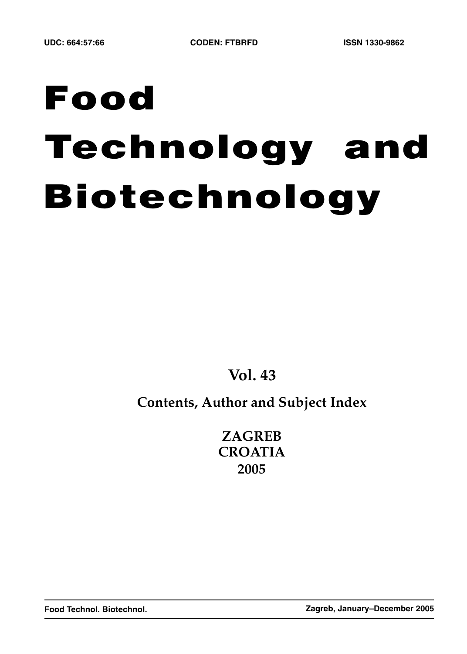# **Food Technology and Biotechnology**

**Vol. 43**

# **Contents, Author and Subject Index**

**ZAGREB CROATIA 2005**

**Food Technol. Biotechnol. Zagreb, January–December 2005**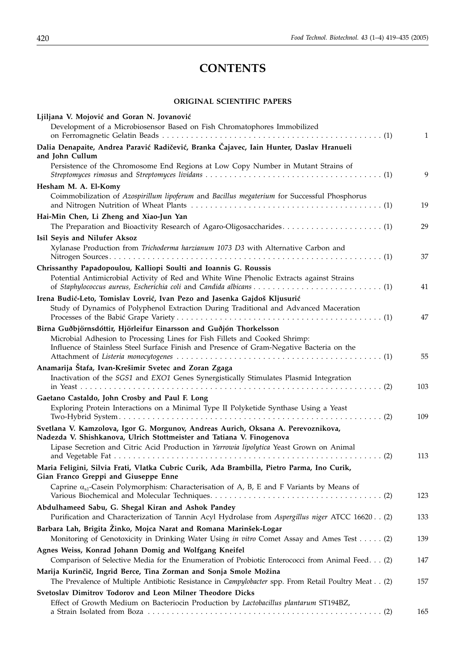# **CONTENTS**

## **ORIGINAL SCIENTIFIC PAPERS**

| Ljiljana V. Mojović and Goran N. Jovanović<br>Development of a Microbiosensor Based on Fish Chromatophores Immobilized                                                  | 1   |
|-------------------------------------------------------------------------------------------------------------------------------------------------------------------------|-----|
| Dalia Denapaite, Andrea Paravić Radičević, Branka Čajavec, Iain Hunter, Daslav Hranueli                                                                                 |     |
| and John Cullum                                                                                                                                                         |     |
| Persistence of the Chromosome End Regions at Low Copy Number in Mutant Strains of                                                                                       | 9   |
| Hesham M. A. El-Komy                                                                                                                                                    |     |
| Coimmobilization of Azospirillum lipoferum and Bacillus megaterium for Successful Phosphorus                                                                            | 19  |
| Hai-Min Chen, Li Zheng and Xiao-Jun Yan                                                                                                                                 |     |
|                                                                                                                                                                         | 29  |
| Isil Seyis and Nilufer Aksoz                                                                                                                                            |     |
| Xylanase Production from Trichoderma harzianum 1073 D3 with Alternative Carbon and                                                                                      | 37  |
| Chrissanthy Papadopoulou, Kalliopi Soulti and Ioannis G. Roussis                                                                                                        |     |
| Potential Antimicrobial Activity of Red and White Wine Phenolic Extracts against Strains                                                                                | 41  |
| Irena Budić-Leto, Tomislav Lovrić, Ivan Pezo and Jasenka Gajdoš Kljusurić                                                                                               |     |
| Study of Dynamics of Polyphenol Extraction During Traditional and Advanced Maceration                                                                                   | 47  |
| Birna Guðbjörnsdóttir, Hjörleifur Einarsson and Guðjón Thorkelsson                                                                                                      |     |
| Microbial Adhesion to Processing Lines for Fish Fillets and Cooked Shrimp:<br>Influence of Stainless Steel Surface Finish and Presence of Gram-Negative Bacteria on the |     |
|                                                                                                                                                                         | 55  |
| Anamarija Štafa, Ivan-Krešimir Svetec and Zoran Zgaga<br>Inactivation of the SGS1 and EXO1 Genes Synergistically Stimulates Plasmid Integration                         |     |
|                                                                                                                                                                         | 103 |
| Gaetano Castaldo, John Crosby and Paul F. Long<br>Exploring Protein Interactions on a Minimal Type II Polyketide Synthase Using a Yeast                                 | 109 |
| Svetlana V. Kamzolova, Igor G. Morgunov, Andreas Aurich, Oksana A. Perevoznikova,<br>Nadezda V. Shishkanova, Ulrich Stottmeister and Tatiana V. Finogenova              |     |
| Lipase Secretion and Citric Acid Production in Yarrowia lipolytica Yeast Grown on Animal                                                                                |     |
|                                                                                                                                                                         | 113 |
| Maria Feligini, Silvia Frati, Vlatka Cubric Curik, Ada Brambilla, Pietro Parma, Ino Curik,<br>Gian Franco Greppi and Giuseppe Enne                                      |     |
| Caprine $\alpha_{s1}$ -Casein Polymorphism: Characterisation of A, B, E and F Variants by Means of                                                                      | 123 |
| Abdulhameed Sabu, G. Shegal Kiran and Ashok Pandey                                                                                                                      |     |
| Purification and Characterization of Tannin Acyl Hydrolase from Aspergillus niger ATCC 16620(2)                                                                         | 133 |
| Barbara Lah, Brigita Žinko, Mojca Narat and Romana Marinšek-Logar<br>Monitoring of Genotoxicity in Drinking Water Using in vitro Comet Assay and Ames Test (2)          | 139 |
| Agnes Weiss, Konrad Johann Domig and Wolfgang Kneifel<br>Comparison of Selective Media for the Enumeration of Probiotic Enterococci from Animal Feed. (2)               | 147 |
| Marija Kurinčič, Ingrid Berce, Tina Zorman and Sonja Smole Možina                                                                                                       |     |
| The Prevalence of Multiple Antibiotic Resistance in Campylobacter spp. From Retail Poultry Meat (2)<br>Svetoslav Dimitrov Todorov and Leon Milner Theodore Dicks        | 157 |
| Effect of Growth Medium on Bacteriocin Production by Lactobacillus plantarum ST194BZ,                                                                                   |     |
|                                                                                                                                                                         | 165 |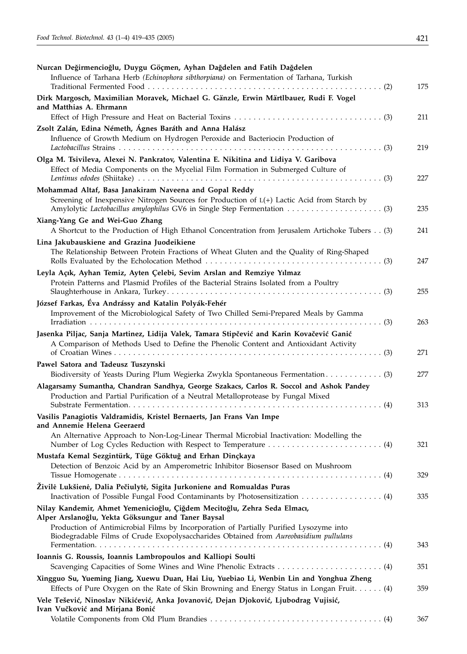| Nurcan Değirmencioğlu, Duygu Göçmen, Ayhan Dağdelen and Fatih Dağdelen<br>Influence of Tarhana Herb (Echinophora sibthorpiana) on Fermentation of Tarhana, Turkish              | 175 |
|---------------------------------------------------------------------------------------------------------------------------------------------------------------------------------|-----|
| Dirk Margosch, Maximilian Moravek, Michael G. Gänzle, Erwin Märtlbauer, Rudi F. Vogel<br>and Matthias A. Ehrmann                                                                |     |
|                                                                                                                                                                                 | 211 |
| Zsolt Zalán, Edina Németh, Ágnes Baráth and Anna Halász                                                                                                                         |     |
| Influence of Growth Medium on Hydrogen Peroxide and Bacteriocin Production of                                                                                                   | 219 |
| Olga M. Tsivileva, Alexei N. Pankratov, Valentina E. Nikitina and Lidiya V. Garibova<br>Effect of Media Components on the Mycelial Film Formation in Submerged Culture of       | 227 |
| Mohammad Altaf, Basa Janakiram Naveena and Gopal Reddy<br>Screening of Inexpensive Nitrogen Sources for Production of L(+) Lactic Acid from Starch by                           | 235 |
| Xiang-Yang Ge and Wei-Guo Zhang<br>A Shortcut to the Production of High Ethanol Concentration from Jerusalem Artichoke Tubers (3)                                               | 241 |
| Lina Jakubauskiene and Grazina Juodeikiene                                                                                                                                      |     |
| The Relationship Between Protein Fractions of Wheat Gluten and the Quality of Ring-Shaped                                                                                       | 247 |
| Leyla Açık, Ayhan Temiz, Ayten Çelebi, Sevim Arslan and Remziye Yılmaz                                                                                                          |     |
| Protein Patterns and Plasmid Profiles of the Bacterial Strains Isolated from a Poultry                                                                                          |     |
|                                                                                                                                                                                 | 255 |
| József Farkas, Éva Andrássy and Katalin Polyák-Fehér                                                                                                                            |     |
| Improvement of the Microbiological Safety of Two Chilled Semi-Prepared Meals by Gamma                                                                                           |     |
|                                                                                                                                                                                 | 263 |
| Jasenka Piljac, Sanja Martinez, Lidija Valek, Tamara Stipčević and Karin Kovačević Ganić                                                                                        |     |
| A Comparison of Methods Used to Define the Phenolic Content and Antioxidant Activity                                                                                            | 271 |
| Pawel Satora and Tadeusz Tuszynski                                                                                                                                              |     |
| Biodiversity of Yeasts During Plum Wegierka Zwykla Spontaneous Fermentation (3)                                                                                                 | 277 |
| Alagarsamy Sumantha, Chandran Sandhya, George Szakacs, Carlos R. Soccol and Ashok Pandey                                                                                        |     |
| Production and Partial Purification of a Neutral Metalloprotease by Fungal Mixed                                                                                                | 313 |
| Vasilis Panagiotis Valdramidis, Kristel Bernaerts, Jan Frans Van Impe<br>and Annemie Helena Geeraerd                                                                            |     |
| An Alternative Approach to Non-Log-Linear Thermal Microbial Inactivation: Modelling the                                                                                         | 321 |
| Mustafa Kemal Sezgintürk, Tüge Göktuğ and Erhan Dinçkaya                                                                                                                        |     |
| Detection of Benzoic Acid by an Amperometric Inhibitor Biosensor Based on Mushroom                                                                                              | 329 |
| Živilė Lukšienė, Dalia Pečiulytė, Sigita Jurkoniene and Romualdas Puras                                                                                                         | 335 |
| Nilay Kandemir, Ahmet Yemenicioğlu, Çiğdem Mecitoğlu, Zehra Seda Elmacı,<br>Alper Arslanoğlu, Yekta Göksungur and Taner Baysal                                                  |     |
| Production of Antimicrobial Films by Incorporation of Partially Purified Lysozyme into<br>Biodegradable Films of Crude Exopolysaccharides Obtained from Aureobasidium pullulans | 343 |
| Ioannis G. Roussis, Ioannis Lambropoulos and Kalliopi Soulti                                                                                                                    |     |
|                                                                                                                                                                                 | 351 |
| Xingguo Su, Yueming Jiang, Xuewu Duan, Hai Liu, Yuebiao Li, Wenbin Lin and Yonghua Zheng                                                                                        |     |
| Effects of Pure Oxygen on the Rate of Skin Browning and Energy Status in Longan Fruit (4)                                                                                       | 359 |
| Vele Tešević, Ninoslav Nikićević, Anka Jovanović, Dejan Djoković, Ljubodrag Vujisić,<br>Ivan Vučković and Mirjana Bonić                                                         |     |
|                                                                                                                                                                                 | 367 |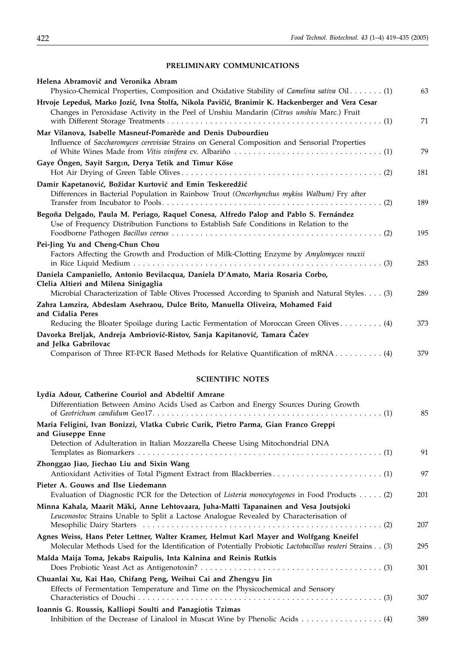## PRELIMINARY COMMUNICATIONS

| Helena Abramovič and Veronika Abram                                                                                                                                                                                         |     |
|-----------------------------------------------------------------------------------------------------------------------------------------------------------------------------------------------------------------------------|-----|
| Physico-Chemical Properties, Composition and Oxidative Stability of Camelina sativa Oil. (1)                                                                                                                                | 63  |
| Hrvoje Lepeduš, Marko Jozić, Ivna Štolfa, Nikola Pavičić, Branimir K. Hackenberger and Vera Cesar<br>Changes in Peroxidase Activity in the Peel of Unshiu Mandarin (Citrus unshiu Marc.) Fruit                              | 71  |
| Mar Vilanova, Isabelle Masneuf-Pomarède and Denis Dubourdieu                                                                                                                                                                |     |
| Influence of Saccharomyces cerevisiae Strains on General Composition and Sensorial Properties                                                                                                                               | 79  |
| Gaye Öngen, Sayit Sargin, Derya Tetik and Timur Köse                                                                                                                                                                        | 181 |
| Damir Kapetanović, Božidar Kurtović and Emin Teskeredžić<br>Differences in Bacterial Population in Rainbow Trout (Oncorhynchus mykiss Walbum) Fry after                                                                     | 189 |
| Begoña Delgado, Paula M. Periago, Raquel Conesa, Alfredo Palop and Pablo S. Fernández<br>Use of Frequency Distribution Functions to Establish Safe Conditions in Relation to the                                            | 195 |
| Pei-Jing Yu and Cheng-Chun Chou<br>Factors Affecting the Growth and Production of Milk-Clotting Enzyme by Amylomyces rouxii                                                                                                 | 283 |
| Daniela Campaniello, Antonio Bevilacqua, Daniela D'Amato, Maria Rosaria Corbo,<br>Clelia Altieri and Milena Sinigaglia<br>Microbial Characterization of Table Olives Processed According to Spanish and Natural Styles. (3) | 289 |
| Zahra Lamzira, Abdeslam Asehraou, Dulce Brito, Manuella Oliveira, Mohamed Faid<br>and Cidalia Peres                                                                                                                         |     |
| Reducing the Bloater Spoilage during Lactic Fermentation of Moroccan Green Olives (4)                                                                                                                                       | 373 |
| Davorka Breljak, Andreja Ambriović-Ristov, Sanja Kapitanović, Tamara Čačev<br>and Jelka Gabrilovac                                                                                                                          |     |
| Comparison of Three RT-PCR Based Methods for Relative Quantification of mRNA 4)                                                                                                                                             | 379 |
| <b>SCIENTIFIC NOTES</b>                                                                                                                                                                                                     |     |
| Lydia Adour, Catherine Couriol and Abdeltif Amrane                                                                                                                                                                          |     |
| Differentiation Between Amino Acids Used as Carbon and Energy Sources During Growth                                                                                                                                         | 85  |
| Maria Feligini, Ivan Bonizzi, Vlatka Cubric Curik, Pietro Parma, Gian Franco Greppi<br>and Giuseppe Enne                                                                                                                    |     |
| Detection of Adulteration in Italian Mozzarella Cheese Using Mitochondrial DNA                                                                                                                                              | 91  |
| Zhonggao Jiao, Jiechao Liu and Sixin Wang                                                                                                                                                                                   | 97  |
| Pieter A. Gouws and Ilse Liedemann                                                                                                                                                                                          |     |

| 201 |
|-----|
|     |
|     |
| 207 |
|     |
| 295 |
|     |
| 301 |
|     |
|     |
| 307 |
|     |
| 389 |
|     |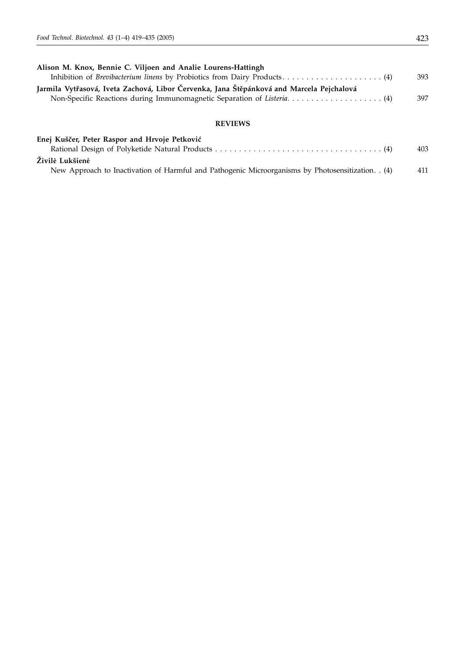| Alison M. Knox, Bennie C. Viljoen and Analie Lourens-Hattingh                            |     |
|------------------------------------------------------------------------------------------|-----|
|                                                                                          | 393 |
| Jarmila Vytřasová, Iveta Zachová, Libor Červenka, Jana Štěpánková and Marcela Pejchalová |     |
|                                                                                          | 397 |
|                                                                                          |     |

#### **REVIEWS**

| Enej Kuščer, Peter Raspor and Hrvoje Petković                                                    |     |
|--------------------------------------------------------------------------------------------------|-----|
|                                                                                                  | 403 |
| Živilė Lukšienė                                                                                  |     |
| New Approach to Inactivation of Harmful and Pathogenic Microorganisms by Photosensitization. (4) | 411 |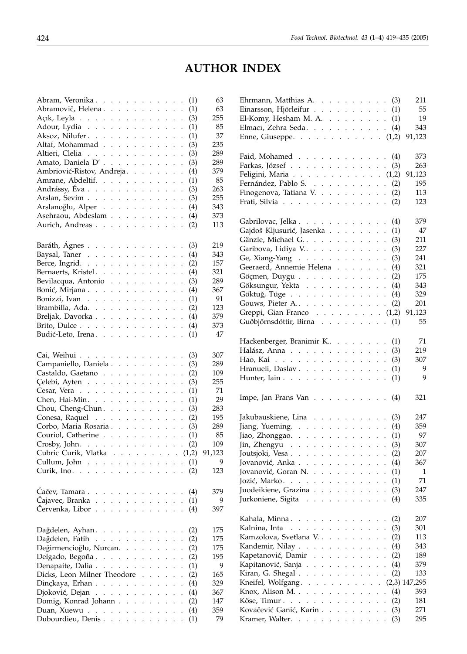# **AUTHOR INDEX**

| Abram, Veronika                                 |                      |                      |                      |                      |                      |                      |                      |                      |                             |                      | (1) | 63     |
|-------------------------------------------------|----------------------|----------------------|----------------------|----------------------|----------------------|----------------------|----------------------|----------------------|-----------------------------|----------------------|-----|--------|
| Abramovič, Helena.                              |                      |                      |                      |                      |                      |                      |                      |                      |                             |                      | (1) | 63     |
|                                                 |                      |                      |                      |                      |                      |                      |                      |                      |                             |                      |     | 255    |
| Açık, Leyla                                     |                      |                      |                      |                      |                      |                      |                      |                      |                             |                      | (3) |        |
| Adour, Lydia                                    |                      |                      |                      |                      |                      |                      |                      |                      |                             |                      | (1) | 85     |
| Aksoz, Nilufer.                                 |                      |                      |                      |                      |                      |                      |                      |                      |                             |                      | (1) | 37     |
| Altaf, Mohammad                                 |                      |                      |                      |                      |                      |                      |                      |                      |                             | $\ddot{\phantom{a}}$ | (3) | 235    |
| Altieri, Clelia                                 |                      |                      |                      |                      |                      |                      |                      |                      |                             | $\ddot{\phantom{0}}$ | (3) | 289    |
| Amato, Daniela D'.                              |                      |                      |                      |                      |                      |                      |                      |                      |                             |                      |     | 289    |
|                                                 |                      |                      |                      |                      |                      |                      |                      |                      |                             | $\ddot{\phantom{0}}$ | (3) |        |
| Ambriović-Ristov, Andreja.                      |                      |                      |                      |                      |                      |                      |                      |                      |                             | $\ddot{\phantom{0}}$ | (4) | 379    |
| Amrane, Abdeltif.                               |                      |                      |                      |                      |                      |                      |                      |                      |                             | $\cdot$              | (1) | 85     |
| Andrássy, Éva                                   |                      |                      |                      |                      |                      |                      |                      |                      |                             | $\ddot{\phantom{a}}$ | (3) | 263    |
| Arslan, Sevim                                   |                      |                      |                      |                      |                      |                      |                      |                      |                             | $\ddot{\phantom{a}}$ | (3) | 255    |
| Arslanoğlu, Alper                               |                      |                      |                      |                      |                      |                      |                      |                      |                             |                      | (4) | 343    |
|                                                 |                      |                      |                      |                      |                      |                      |                      |                      |                             |                      |     |        |
| Asehraou, Abdeslam                              |                      |                      |                      |                      |                      |                      |                      |                      |                             |                      | (4) | 373    |
| Aurich, Andreas                                 |                      |                      |                      |                      |                      |                      |                      |                      |                             |                      | (2) | 113    |
|                                                 |                      |                      |                      |                      |                      |                      |                      |                      |                             |                      |     |        |
|                                                 |                      |                      |                      |                      |                      |                      |                      |                      |                             |                      |     |        |
| Baráth, Ágnes                                   |                      |                      |                      |                      |                      |                      |                      |                      |                             |                      | (3) | 219    |
| Baysal, Taner                                   |                      |                      |                      |                      |                      |                      |                      |                      |                             |                      | (4) | 343    |
| Berce, Ingrid.                                  |                      |                      |                      |                      |                      |                      |                      |                      | $\mathbb{Z}^{\mathbb{Z}^2}$ | $\ddot{\phantom{a}}$ | (2) | 157    |
| Bernaerts, Kristel.                             |                      |                      |                      |                      |                      |                      |                      |                      |                             | $\ddot{\phantom{0}}$ | (4) | 321    |
|                                                 |                      |                      |                      |                      |                      |                      |                      |                      |                             |                      |     | 289    |
| Bevilacqua, Antonio                             |                      |                      |                      |                      |                      |                      |                      |                      |                             | $\ddot{\phantom{0}}$ | (3) |        |
| Bonić, Mirjana                                  |                      |                      |                      |                      |                      |                      |                      |                      |                             | $\ddot{\phantom{a}}$ | (4) | 367    |
| Bonizzi, Ivan                                   |                      |                      |                      |                      |                      |                      |                      |                      |                             | $\cdot$              | (1) | 91     |
| Brambilla, Ada.                                 |                      |                      |                      |                      |                      |                      |                      |                      |                             | $\ddot{\phantom{a}}$ | (2) | 123    |
| Breljak, Davorka                                |                      |                      |                      |                      |                      |                      |                      |                      |                             | $\ddot{\phantom{a}}$ | (4) | 379    |
|                                                 |                      |                      |                      |                      |                      |                      |                      |                      |                             |                      |     | 373    |
| Brito, Dulce                                    |                      |                      |                      |                      |                      |                      |                      |                      |                             |                      | (4) |        |
| Budić-Leto, Irena.                              |                      |                      |                      |                      |                      |                      |                      |                      |                             |                      | (1) | 47     |
|                                                 |                      |                      |                      |                      |                      |                      |                      |                      |                             |                      |     |        |
|                                                 |                      |                      |                      |                      |                      |                      |                      |                      |                             |                      |     | 307    |
| Cai, Weihui                                     |                      |                      |                      |                      |                      |                      |                      |                      |                             |                      | (3) |        |
| Campaniello, Daniela                            |                      |                      |                      |                      |                      |                      |                      |                      |                             | $\ddot{\phantom{a}}$ | (3) | 289    |
| Castaldo, Gaetano                               |                      |                      |                      |                      |                      |                      |                      |                      |                             |                      | (2) | 109    |
| Celebi, Ayten                                   |                      |                      |                      |                      |                      |                      |                      |                      |                             | $\ddot{\phantom{a}}$ | (3) | 255    |
| Cesar, Vera                                     |                      |                      |                      |                      |                      |                      |                      |                      |                             | $\ddot{\phantom{a}}$ | (1) | 71     |
|                                                 |                      |                      |                      |                      |                      |                      |                      |                      |                             |                      |     | 29     |
| Chen, Hai-Min. $\ldots$                         |                      |                      |                      |                      |                      |                      |                      |                      |                             | $\ddot{\phantom{0}}$ | (1) |        |
| Chou, Cheng-Chun.                               |                      |                      |                      |                      |                      |                      |                      |                      |                             | $\ddot{\phantom{0}}$ | (3) | 283    |
| Conesa, Raquel                                  |                      |                      |                      |                      |                      |                      |                      |                      |                             | $\ddot{\phantom{a}}$ | (2) | 195    |
| Corbo, Maria Rosaria                            |                      |                      |                      |                      |                      |                      |                      |                      |                             | $\ddot{\phantom{a}}$ | (3) | 289    |
| Couriol, Catherine                              |                      |                      |                      |                      |                      |                      |                      |                      |                             | $\ddot{\phantom{a}}$ | (1) | 85     |
|                                                 |                      |                      |                      |                      |                      |                      |                      |                      |                             |                      |     |        |
| Crosby, John. $\ldots$                          |                      |                      |                      |                      |                      |                      |                      |                      |                             |                      | (2) | 109    |
| Cubric Curik, Vlatka (1,2)                      |                      |                      |                      |                      |                      |                      |                      |                      |                             |                      |     | 91,123 |
| Cullum, John                                    |                      |                      |                      |                      |                      |                      |                      |                      |                             |                      | (1) | 9      |
| Curik, Ino.                                     |                      |                      |                      |                      |                      |                      |                      |                      |                             |                      | (2) | 123    |
|                                                 |                      |                      |                      |                      |                      |                      |                      |                      |                             |                      |     |        |
|                                                 |                      |                      |                      |                      |                      |                      |                      |                      |                             |                      |     |        |
| Čačev, Tamara                                   | $\sim$               | $\mathcal{A}$        | $\ddot{\phantom{0}}$ | $\ddot{\phantom{a}}$ |                      |                      |                      |                      |                             |                      | (4) | 379    |
| Čajavec, Branka).                               | $\ddot{\phantom{a}}$ | $\ddot{\phantom{a}}$ | $\ddot{\phantom{a}}$ | $\ddot{\phantom{0}}$ | $\ddot{\phantom{0}}$ | $\ddot{\phantom{a}}$ |                      |                      |                             |                      | (1) | 9      |
| Červenka, Libor.                                | $\ddot{\phantom{a}}$ |                      | $\overline{a}$       | $\ddot{\phantom{a}}$ | $\overline{a}$       | $\overline{a}$       |                      |                      |                             |                      | (4) | 397    |
|                                                 |                      |                      |                      |                      |                      |                      |                      |                      |                             |                      |     |        |
|                                                 |                      |                      |                      |                      |                      |                      |                      |                      |                             |                      |     |        |
| Dağdelen, Ayhan                                 |                      |                      |                      |                      | $\ddot{\phantom{a}}$ | $\ddot{\phantom{0}}$ | $\Box$               |                      |                             | $\ddot{\phantom{0}}$ | (2) | 175    |
| Dağdelen, Fatih                                 |                      |                      |                      | $\mathbf{L}$         | $\mathbf{1}$         |                      |                      |                      |                             |                      | (2) | 175    |
| Değirmencioğlu, Nurcan                          |                      |                      |                      |                      | $\ddot{\phantom{a}}$ |                      | $\mathbf{r}$         | $\ddot{\phantom{a}}$ |                             |                      |     | 175    |
|                                                 |                      |                      |                      |                      |                      | $\sim$               |                      |                      |                             |                      | (2) |        |
| Delgado, Begoña.                                |                      |                      |                      |                      |                      |                      | $\ddot{\phantom{0}}$ |                      |                             |                      | (2) | 195    |
| Denapaite, Dalia                                |                      |                      |                      |                      |                      | $\ddot{\phantom{0}}$ |                      |                      |                             |                      | (1) | 9      |
| Dicks, Leon Milner Theodore.                    |                      |                      |                      |                      |                      |                      | $\ddot{\phantom{a}}$ |                      |                             |                      | (2) | 165    |
| $D$ inçkaya, Erhan $\ldots$ $\ldots$            |                      |                      |                      |                      |                      | $\mathbb{Z}^2$       | $\ddot{\phantom{0}}$ | $\ddot{\phantom{a}}$ |                             |                      | (4) | 329    |
|                                                 |                      |                      |                      |                      |                      |                      |                      |                      |                             |                      |     |        |
| Djoković, Dejan                                 |                      |                      |                      |                      |                      |                      | $\mathbf{L}$         | $\ddot{\phantom{a}}$ |                             |                      | (4) | 367    |
| Domig, Konrad Johann                            |                      |                      |                      |                      |                      |                      |                      |                      |                             |                      | (2) | 147    |
| Duan, Xuewu $\ldots$ $\ldots$ $\ldots$ $\ldots$ |                      |                      |                      |                      |                      |                      |                      |                      |                             |                      | (4) | 359    |
| Dubourdieu, Denis                               |                      |                      |                      |                      |                      |                      |                      |                      |                             |                      | (1) | 79     |
|                                                 |                      |                      |                      |                      |                      |                      |                      |                      |                             |                      |     |        |

| Ehrmann, Matthias A. $(3)$                                                                        |                           |                                                                                                 |                      |                             |                      |                            |                      |                             |                             | 211    |
|---------------------------------------------------------------------------------------------------|---------------------------|-------------------------------------------------------------------------------------------------|----------------------|-----------------------------|----------------------|----------------------------|----------------------|-----------------------------|-----------------------------|--------|
| Einarsson, Hjörleifur                                                                             |                           |                                                                                                 |                      |                             |                      |                            |                      |                             | (1)                         | 55     |
| El-Komy, Hesham M. A. $\ldots$                                                                    |                           |                                                                                                 |                      |                             |                      |                            |                      |                             | (1)                         | 19     |
| Elmaci, Zehra Seda.                                                                               |                           |                                                                                                 |                      |                             |                      |                            |                      |                             | (4)                         | 343    |
| Enne, Giuseppe. $(1,2)$                                                                           |                           |                                                                                                 |                      |                             |                      |                            |                      |                             |                             | 91,123 |
|                                                                                                   |                           |                                                                                                 |                      |                             |                      |                            |                      |                             |                             |        |
| Faid, Mohamed                                                                                     |                           |                                                                                                 |                      |                             |                      |                            |                      |                             | (4)                         | 373    |
| Farkas, József                                                                                    |                           |                                                                                                 |                      |                             |                      |                            |                      |                             |                             | 263    |
|                                                                                                   |                           |                                                                                                 |                      |                             |                      |                            |                      |                             | (3)                         |        |
| Feligini, Maria (1,2)                                                                             |                           |                                                                                                 |                      |                             |                      |                            |                      |                             |                             | 91,123 |
| Fernández, Pablo S.                                                                               |                           |                                                                                                 |                      |                             |                      |                            |                      |                             | (2)                         | 195    |
| Finogenova, Tatiana V.                                                                            |                           |                                                                                                 |                      |                             |                      |                            |                      |                             | (2)                         | 113    |
| Frati, Silvia                                                                                     |                           |                                                                                                 |                      |                             |                      |                            |                      |                             | (2)                         | 123    |
|                                                                                                   |                           |                                                                                                 |                      |                             |                      |                            |                      |                             |                             |        |
| Gabrilovac, Jelka                                                                                 |                           |                                                                                                 |                      |                             |                      |                            |                      |                             | (4)                         | 379    |
| Gajdoš Kljusurić, Jasenka                                                                         |                           |                                                                                                 |                      |                             |                      |                            |                      |                             | (1)<br>$\ddot{\phantom{0}}$ | 47     |
| Gänzle, Michael G.                                                                                |                           |                                                                                                 |                      |                             |                      |                            |                      |                             | (3)<br>$\ddot{\phantom{0}}$ | 211    |
| Garibova, Lidiya V                                                                                |                           |                                                                                                 |                      |                             |                      |                            |                      |                             | (3)<br>$\ddot{\phantom{0}}$ | 227    |
| Ge, Xiang-Yang $\ldots$ $\ldots$ $\ldots$ $\ldots$                                                |                           |                                                                                                 |                      |                             |                      |                            |                      |                             | (3)<br>$\ddot{\phantom{0}}$ | 241    |
| Geeraerd, Annemie Helena                                                                          |                           |                                                                                                 |                      |                             |                      |                            |                      |                             | (4)                         | 321    |
|                                                                                                   |                           |                                                                                                 |                      |                             |                      |                            |                      |                             |                             | 175    |
| Göçmen, Duygu                                                                                     |                           |                                                                                                 |                      |                             |                      |                            | $\mathcal{L}^{\pm}$  | $\mathcal{L}^{\pm}$         | (2)<br>$\ddot{\phantom{0}}$ |        |
| Göksungur, Yekta                                                                                  |                           |                                                                                                 |                      |                             |                      |                            |                      |                             | (4)<br>$\ddot{\phantom{a}}$ | 343    |
| Göktuğ, Tüge                                                                                      |                           |                                                                                                 |                      |                             |                      |                            |                      |                             | (4)<br>$\ddot{\phantom{0}}$ | 329    |
| Gouws, Pieter A                                                                                   |                           |                                                                                                 |                      |                             |                      |                            |                      |                             | (2)<br>$\ddot{\phantom{0}}$ | 201    |
| Greppi, Gian Franco $(1,2)$                                                                       |                           |                                                                                                 |                      |                             |                      |                            |                      |                             |                             | 91,123 |
| Guðbjörnsdóttir, Birna                                                                            |                           |                                                                                                 |                      |                             |                      |                            |                      |                             | (1)                         | 55     |
|                                                                                                   |                           |                                                                                                 |                      |                             |                      |                            |                      |                             |                             |        |
| Hackenberger, Branimir K                                                                          |                           |                                                                                                 |                      |                             |                      |                            |                      |                             | (1)                         | 71     |
| Halász, Anna                                                                                      |                           |                                                                                                 |                      |                             |                      |                            |                      |                             | (3)                         | 219    |
| Hao, Kai                                                                                          |                           |                                                                                                 |                      |                             |                      |                            |                      |                             | (3)                         | 307    |
| Hranueli, Daslav.                                                                                 |                           |                                                                                                 |                      |                             |                      |                            |                      |                             | (1)                         | 9      |
| Hunter, Iain                                                                                      |                           |                                                                                                 |                      |                             |                      |                            |                      |                             | (1)                         | 9      |
|                                                                                                   |                           |                                                                                                 |                      |                             |                      |                            |                      |                             |                             |        |
|                                                                                                   |                           |                                                                                                 |                      |                             |                      |                            |                      |                             |                             |        |
| Impe, Jan Frans Van                                                                               |                           |                                                                                                 |                      |                             |                      |                            |                      |                             | (4)                         | 321    |
|                                                                                                   |                           |                                                                                                 |                      |                             |                      |                            |                      |                             |                             |        |
| Jakubauskiene, Lina                                                                               |                           |                                                                                                 |                      |                             |                      |                            |                      |                             | (3)                         | 247    |
| Jiang, Yueming.                                                                                   |                           |                                                                                                 |                      |                             |                      |                            |                      |                             | (4)                         | 359    |
| Jiao, Zhonggao.                                                                                   |                           |                                                                                                 |                      |                             |                      |                            |                      |                             | (1)                         | 97     |
| Jin, Zhengyu                                                                                      |                           |                                                                                                 |                      |                             |                      |                            |                      |                             | (3)                         | 307    |
| Joutsjoki, Vesa.                                                                                  |                           |                                                                                                 |                      |                             |                      |                            |                      |                             | (2)                         | 207    |
| Jovanović, Anka                                                                                   |                           |                                                                                                 |                      |                             |                      |                            |                      |                             | (4)                         | 367    |
| Jovanović, Goran N.                                                                               |                           |                                                                                                 |                      |                             |                      |                            |                      |                             | (1)                         | 1      |
| Jozić, Marko.<br>$\mathcal{L}^{\mathcal{A}}$ . The set of the set of the set of the $\mathcal{A}$ |                           |                                                                                                 |                      |                             |                      |                            |                      | $\mathcal{L}^{\text{max}}$  | (1)<br>$\ddot{\phantom{0}}$ | 71     |
| Juodeikiene, Grazina                                                                              |                           |                                                                                                 |                      |                             |                      |                            |                      |                             | (3)<br>$\ddot{\phantom{0}}$ | 247    |
| Jurkoniene, Sigita<br>$\Delta$<br>$\ddot{\phantom{0}}$                                            | $\ddot{\phantom{0}}$      | $\ddot{\phantom{0}}$                                                                            | $\ddot{\phantom{0}}$ | $\ddot{\phantom{0}}$        | $\ddot{\phantom{0}}$ | $\sim$                     |                      | $\sim$                      | (4)                         | 335    |
|                                                                                                   |                           |                                                                                                 |                      |                             |                      |                            |                      |                             |                             |        |
|                                                                                                   |                           |                                                                                                 |                      |                             |                      |                            |                      |                             |                             |        |
| Kahala, Minna.                                                                                    |                           |                                                                                                 |                      |                             |                      |                            |                      |                             | (2)<br>$\ddot{\phantom{0}}$ | 207    |
| Kalnina, Inta<br>$\sim 100$ km s $^{-1}$                                                          | $\mathbb{Z}^{\mathbb{Z}}$ | $\mathcal{L}^{\pm}$                                                                             |                      | $\mathbf{r} = \mathbf{r}$ . |                      | $\mathcal{L}^{\text{max}}$ |                      |                             | (3)<br>$\ddot{\phantom{0}}$ | 301    |
| Kamzolova, Svetlana V.                                                                            |                           |                                                                                                 |                      |                             |                      |                            | $\ddot{\phantom{a}}$ |                             | (2)<br>$\ddot{\phantom{0}}$ | 113    |
| Kandemir, Nilay                                                                                   |                           | $\ddot{\phantom{0}}$                                                                            | $\ddot{\phantom{0}}$ | $\ddot{\phantom{0}}$        | $\ddot{\phantom{a}}$ | $\sim$                     | $\ddot{\phantom{0}}$ | $\ddot{\phantom{a}}$        | (4)                         | 343    |
| Kapetanović, Damir.                                                                               |                           | $\mathbf{r} = \mathbf{r} + \mathbf{r} + \mathbf{r}$ .                                           |                      |                             | $\ddot{\phantom{0}}$ | $\sim$                     | $\ddot{\phantom{0}}$ | $\ddot{\phantom{0}}$        | (2)<br>$\ddot{\phantom{0}}$ | 189    |
| Kapitanović, Sanja                                                                                |                           |                                                                                                 |                      |                             |                      |                            | $\ddot{\phantom{a}}$ | $\mathbb{Z}^{\mathbb{Z}}$   | (4)<br>$\ddot{\phantom{0}}$ | 379    |
| Kiran, G. Shegal                                                                                  |                           | $\mathbf{1}^{\prime}$ , $\mathbf{1}^{\prime}$ , $\mathbf{1}^{\prime}$ , $\mathbf{1}^{\prime}$ , |                      |                             |                      | $\ddotsc$                  | $\ddot{\phantom{0}}$ | $\ddot{\phantom{0}}$        | (2)                         | 133    |
| Kneifel, Wolfgang. (2,3) 147,295                                                                  |                           |                                                                                                 |                      |                             |                      |                            |                      |                             |                             |        |
| Knox, Alison M.                                                                                   |                           |                                                                                                 |                      |                             |                      |                            | $\ddot{\phantom{0}}$ | $\ddot{\phantom{0}}$        | (4)<br>$\ddot{\phantom{a}}$ | 393    |
| Köse, Timur.                                                                                      |                           |                                                                                                 |                      |                             |                      |                            |                      | $\mathbf{r} = \mathbf{r}$ . | (2)<br>$\ddot{\phantom{a}}$ | 181    |
| Kovačević Ganić, Karin                                                                            |                           |                                                                                                 |                      |                             |                      |                            |                      |                             | (3)<br>$\ddot{\phantom{0}}$ | 271    |
| Kramer, Walter.                                                                                   |                           |                                                                                                 |                      |                             |                      |                            |                      |                             | (3)                         | 295    |
|                                                                                                   |                           |                                                                                                 |                      |                             |                      |                            |                      |                             |                             |        |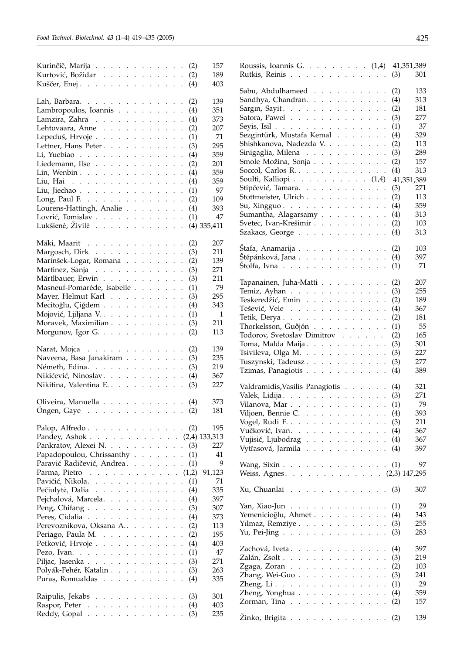| Kurinčič, Marija                                                                                                                                                                              | (2)                         | 157          |
|-----------------------------------------------------------------------------------------------------------------------------------------------------------------------------------------------|-----------------------------|--------------|
| Kurtović, Božidar                                                                                                                                                                             | (2)                         | 189          |
| Kuščer, Enej.                                                                                                                                                                                 | (4)                         | 403          |
|                                                                                                                                                                                               |                             |              |
| Lah, Barbara.                                                                                                                                                                                 | (2)                         | 139          |
| Lambropoulos, Ioannis                                                                                                                                                                         | (4)                         | 351          |
|                                                                                                                                                                                               |                             |              |
| Lamzira, Zahra                                                                                                                                                                                | (4)                         | 373          |
| Lehtovaara, Anne                                                                                                                                                                              | (2)<br>$\ddot{\phantom{a}}$ | 207          |
| Lepeduš, Hrvoje                                                                                                                                                                               | (1)<br>$\ddot{\phantom{0}}$ | 71           |
| Lettner, Hans Peter.                                                                                                                                                                          | (3)                         | 295          |
| Li, Yuebiao                                                                                                                                                                                   | (4)<br>$\ddot{\phantom{a}}$ | 359          |
| Liedemann, Ilse                                                                                                                                                                               | (2)                         | 201          |
| Lin, Wenbin $\ldots$ $\ldots$ $\ldots$ $\ldots$                                                                                                                                               | (4)<br>$\ddot{\phantom{0}}$ | 359          |
| Liu, Hai                                                                                                                                                                                      | (4)<br>$\ddot{\phantom{a}}$ | 359          |
| Liu, Jiechao                                                                                                                                                                                  | (1)                         | 97           |
|                                                                                                                                                                                               | $\ddot{\phantom{0}}$        | 109          |
| Long, Paul F. $\ldots$                                                                                                                                                                        | (2)                         |              |
| Lourens-Hattingh, Analie                                                                                                                                                                      | (4)                         | 393          |
| Lovrić, Tomislav                                                                                                                                                                              | (1)                         | 47           |
| Lukšienė, Živilė                                                                                                                                                                              | $(4)$ 335,411               |              |
|                                                                                                                                                                                               |                             |              |
| Mäki, Maarit                                                                                                                                                                                  | (2)                         | 207          |
| Margosch, Dirk                                                                                                                                                                                | (3)                         | 211          |
| Marinšek-Logar, Romana                                                                                                                                                                        | (2)                         | 139          |
| Martinez, Sanja                                                                                                                                                                               | (3)                         | 271          |
| Märtlbauer, Erwin                                                                                                                                                                             | (3)                         | 211          |
|                                                                                                                                                                                               |                             |              |
| Masneuf-Pomarède, Isabelle                                                                                                                                                                    | (1)<br>$\ddot{\phantom{0}}$ | 79           |
| Mayer, Helmut Karl                                                                                                                                                                            | (3)<br>$\ddot{\phantom{0}}$ | 295          |
| Mecitoğlu, Çiğdem                                                                                                                                                                             | (4)<br>$\ddot{\phantom{0}}$ | 343          |
| Mojović, Ljiljana V.                                                                                                                                                                          | (1)                         | $\mathbf{1}$ |
| Moravek, Maximilian                                                                                                                                                                           | (3)                         | 211          |
| Morgunov, Igor G.                                                                                                                                                                             | (2)                         | 113          |
|                                                                                                                                                                                               |                             |              |
| Narat, Mojca $\ldots$ $\ldots$ $\ldots$ $\ldots$ $\ldots$                                                                                                                                     | (2)                         | 139          |
| Naveena, Basa Janakiram                                                                                                                                                                       | (3)                         | 235          |
| Németh, Edina.                                                                                                                                                                                | (3)                         | 219          |
|                                                                                                                                                                                               |                             |              |
| Nikićević, Ninoslav.                                                                                                                                                                          | (4)                         | 367          |
| Nikitina, Valentina E.                                                                                                                                                                        | (3)                         | 227          |
|                                                                                                                                                                                               |                             |              |
| Oliveira, Manuella                                                                                                                                                                            | (4)                         | 373          |
| $\Omega$ ngen, Gaye $\ldots$ $\ldots$ $\ldots$ $\ldots$ $\ldots$                                                                                                                              | (2)                         | 181          |
|                                                                                                                                                                                               |                             |              |
| Palop, Alfredo.                                                                                                                                                                               | (2)                         | 195          |
| Pandey, Ashok (2,4) 133,313                                                                                                                                                                   |                             |              |
| Pankratov, Alexei N.<br>$\mathbf{r}$<br>$\mathbf{r}$                                                                                                                                          | (3)<br>$\ddot{\phantom{0}}$ | 227          |
| Papadopoulou, Chrissanthy.<br>$\ddot{\phantom{0}}$<br>$\mathcal{L}^{\pm}$<br>$\mathcal{L}^{\pm}$<br>¥.<br>¥.                                                                                  | (1)<br>$\ddot{\phantom{0}}$ | 41           |
| Paravić Radičević, Andrea.                                                                                                                                                                    |                             | 9            |
| $\ddot{\phantom{0}}$<br>¥.<br>$\ddot{\phantom{0}}$<br>$\ddot{\phantom{0}}$<br>¥.<br>$\ddot{\phantom{0}}$                                                                                      | (1)<br>$\ddot{\phantom{0}}$ |              |
| Parma, Pietro<br>and a series of<br>$\mathcal{L}^{\pm}$ , $\mathcal{L}^{\pm}$ , $\mathcal{L}^{\pm}$ , $\mathcal{L}^{\pm}$<br>$\mathcal{L}_{\bullet}$                                          | (1,2)                       | 91,123       |
| Pavičić, Nikola<br>$\mathbf{r}$<br>$\mathbf{L}$<br>$\mathbf{r}$<br>$\mathbf{r}$<br>$\ddot{\phantom{0}}$<br>$\ddot{\phantom{0}}$                                                               | (1)<br>$\ddot{\phantom{a}}$ | 71           |
| Pečiulytė, Dalia<br>$\mathbf{L}^{\text{max}}$<br>$\ddot{\phantom{a}}$<br>$\ddot{\phantom{0}}$<br>$\ddot{\phantom{a}}$<br>$\ddot{\phantom{0}}$<br>$\ddot{\phantom{a}}$<br>$\ddot{\phantom{a}}$ | (4)                         | 335          |
| Pejchalová, Marcela.<br>$\sim$ $\sim$ $\sim$<br>$\sim$<br>$\ddot{\phantom{0}}$<br>$\ddot{\phantom{0}}$<br>$\ddot{\phantom{0}}$<br>$\ddot{\phantom{0}}$<br>$\ddot{\phantom{0}}$                | (4)                         | 397          |
| Peng, Chifang.<br>$\mathcal{A}$ , and $\mathcal{A}$ , and $\mathcal{A}$<br>$\ddot{\phantom{0}}$<br>$\ddot{\phantom{0}}$<br>$\ddot{\phantom{0}}$<br>$\ddot{\phantom{0}}$                       | (3)                         | 307          |
| Peres, Cidalia<br>$\mathcal{L}^{\pm}$ , $\mathcal{L}^{\pm}$ , $\mathcal{L}^{\pm}$ , $\mathcal{L}^{\pm}$<br>$\ddot{\phantom{0}}$<br>$\ddot{\phantom{0}}$                                       | (4)                         | 373          |
| Perevoznikova, Oksana A<br>$\ddot{\phantom{a}}$<br>$\ddot{\phantom{0}}$<br>$\overline{a}$<br>$\ddot{\phantom{a}}$                                                                             | (2)                         | 113          |
| Periago, Paula M. .<br>$\ddot{\phantom{a}}$                                                                                                                                                   |                             | 195          |
| $\ddot{\phantom{0}}$<br>$\ddot{\phantom{0}}$<br>$\ddot{\phantom{0}}$<br>$\ddot{\phantom{0}}$<br>$\ddot{\phantom{a}}$<br>$\ddot{\phantom{a}}$                                                  | (2)                         |              |
| Petković, Hrvoje.<br><b>Contractor</b><br>$\ddot{\phantom{0}}$<br>$\ddot{\phantom{0}}$<br>$\ddot{\phantom{0}}$<br>$\ddot{\phantom{0}}$<br>$\ddot{\phantom{0}}$                                | (4)                         | 403          |
| Pezo, Ivan. $\ldots$<br>$\ddot{\phantom{0}}$<br>$\ddot{\phantom{0}}$<br>$\ddot{\phantom{0}}$<br>$\ddot{\phantom{0}}$                                                                          | (1)                         | 47           |
| Piljac, Jasenka<br>$\ddot{\phantom{0}}$<br>$\ddot{\phantom{0}}$<br>$\ddot{\phantom{0}}$<br>$\ddot{\phantom{a}}$                                                                               | (3)                         | 271          |
| Polyák-Fehér, Katalin.<br>$\mathbf{1}$<br>$\ddot{\phantom{a}}$<br>$\ddot{\phantom{a}}$<br>$\ddot{\phantom{a}}$                                                                                | (3)                         | 263          |
| Puras, Romualdas<br>$\sim$ $\sim$<br>$\ddot{\phantom{a}}$<br>$\ddot{\phantom{a}}$<br>$\ddot{\phantom{0}}$<br>$\ddot{\phantom{a}}$<br>$\ddot{\phantom{a}}$                                     | (4)                         | 335          |
|                                                                                                                                                                                               |                             |              |
| Raipulis, Jekabs                                                                                                                                                                              | (3)                         | 301          |
| Raspor, Peter<br>$\mathbf{1}=\mathbf{1}=\mathbf{1}=\mathbf{1}$<br>$\mathbf{1}=\mathbf{1}=\mathbf{1}=\mathbf{1}$<br>$\mathcal{L}^{\mathcal{L}}$                                                | (4)                         | 403          |
| Reddy, Gopal                                                                                                                                                                                  | (3)                         | 235          |
|                                                                                                                                                                                               |                             |              |

| Roussis, Ioannis G. (1,4) 41,351,389                                                |                                    |
|-------------------------------------------------------------------------------------|------------------------------------|
| Rutkis, Reinis                                                                      | 301<br>(3)                         |
|                                                                                     |                                    |
| Sabu, Abdulhameed                                                                   | 133<br>(2)                         |
| Sandhya, Chandran.                                                                  | 313<br>(4)                         |
|                                                                                     | 181<br>(2)<br>$\ddot{\phantom{a}}$ |
| Satora, Pawel $\ldots$                                                              | 277<br>(3)                         |
|                                                                                     | $\ddot{\phantom{0}}$               |
| Seyis, Isil $\ldots$                                                                | 37<br>(1)                          |
| Sezgintürk, Mustafa Kemal                                                           | 329<br>(4)                         |
| Shishkanova, Nadezda V.                                                             | 113<br>(2)<br>$\ddot{\phantom{a}}$ |
| Sinigaglia, Milena                                                                  | 289<br>(3)                         |
| Smole Možina, Sonja                                                                 | 157<br>(2)                         |
| Soccol, Carlos R                                                                    | 313<br>(4)                         |
| Soulti, Kalliopi (1,4)                                                              | 41,351,389                         |
| Stipčević, Tamara.                                                                  | 271<br>(3)                         |
| Stottmeister, Ulrich                                                                | 113<br>(2)                         |
|                                                                                     | 359<br>(4)                         |
| Su, Xingguo.                                                                        |                                    |
| Sumantha, Alagarsamy                                                                | 313<br>(4)                         |
| Svetec, Ivan-Krešimir                                                               | 103<br>(2)                         |
| Szakacs, George                                                                     | 313<br>(4)                         |
|                                                                                     |                                    |
| Štafa, Anamarija                                                                    | 103<br>(2)                         |
| Štěpánková, Jana                                                                    | 397<br>(4)                         |
| Štolfa, Ivna $\ldots$                                                               | 71<br>(1)                          |
|                                                                                     |                                    |
| Tapanainen, Juha-Matti                                                              | 207<br>(2)                         |
| Temiz, Ayhan                                                                        | 255<br>(3)                         |
| Teskeredžić, Emin                                                                   | 189<br>(2)                         |
|                                                                                     |                                    |
| Tešević, Vele                                                                       | 367<br>(4)                         |
| Tetik, Derya                                                                        | 181<br>(2)                         |
| Thorkelsson, Guðjón                                                                 | 55<br>(1)                          |
| Todorov, Svetoslav Dimitrov                                                         | 165<br>(2)                         |
| Toma, Malda Maija.                                                                  | 301<br>(3)                         |
| Tsivileva, Olga M.                                                                  | 227<br>(3)                         |
| Tuszynski, Tadeusz                                                                  | 277<br>(3)                         |
| Tzimas, Panagiotis                                                                  | 389<br>(4)                         |
|                                                                                     |                                    |
| Valdramidis, Vasilis Panagiotis                                                     | 321<br>(4)                         |
| Valek, Lidija.                                                                      | 271                                |
| Vilanova, Mar.                                                                      | (3)<br>$\ddot{\phantom{a}}$<br>79  |
|                                                                                     | (1)                                |
| Viljoen, Bennie C                                                                   | 393<br>(4)                         |
| Vogel, Rudi F.                                                                      | (3)<br>211                         |
| Vučković, Ivan. (4)                                                                 | 367                                |
| Vujisić, Ljubodrag                                                                  | 367<br>(4)                         |
| Vytřasová, Jarmila                                                                  | 397<br>(4)                         |
|                                                                                     |                                    |
| Wang, Sixin                                                                         | 97<br>(1)                          |
| Weiss, Agnes. (2,3) 147,295                                                         |                                    |
|                                                                                     |                                    |
| $Xu$ , Chuanlai                                                                     | 307<br>(3)                         |
|                                                                                     |                                    |
|                                                                                     | 29<br>(1)                          |
| Yan, Xiao-Jun                                                                       |                                    |
| Yemenicioğlu, Ahmet                                                                 | 343<br>(4)                         |
| Yilmaz, Remziye                                                                     | 255<br>(3)                         |
| Yu, Pei-Jing                                                                        | 283<br>(3)                         |
|                                                                                     |                                    |
| Zachová, Iveta                                                                      | 397<br>(4)                         |
| Zalán, Zsolt $\ldots$ $\ldots$ $\ldots$ $\ldots$ $\ldots$                           | 219<br>(3)<br>$\ddot{\phantom{0}}$ |
| Zgaga, Zoran $\ldots$ $\ldots$ $\ldots$ $\ldots$                                    | 103<br>(2)<br>$\ddot{\phantom{0}}$ |
| Zhang, Wei-Guo                                                                      | 241<br>(3)<br>$\ddot{\phantom{0}}$ |
| Zheng, $Li \cdot \cdot \cdot \cdot \cdot \cdot \cdot \cdot \cdot \cdot \cdot \cdot$ | 29<br>(1)<br>$\ddot{\phantom{0}}$  |
| Zheng, Yonghua                                                                      | 359<br>(4)                         |
|                                                                                     | 157<br>(2)                         |
| Zorman, Tina $\ldots$ $\ldots$ $\ldots$ $\ldots$ $\ldots$                           |                                    |
|                                                                                     |                                    |
| Žinko, Brigita                                                                      | 139<br>(2)                         |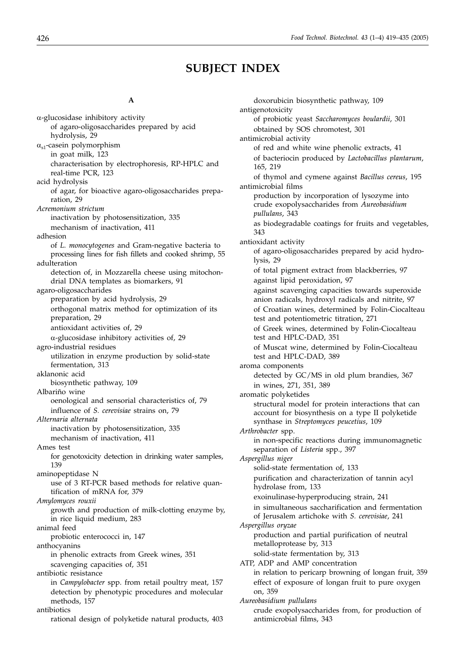# **SUBJECT INDEX**

#### **A**

 $\alpha$ -glucosidase inhibitory activity of agaro-oligosaccharides prepared by acid hydrolysis, 29  $\alpha_{s1}$ -casein polymorphism in goat milk, 123 characterisation by electrophoresis, RP-HPLC and real-time PCR, 123 acid hydrolysis of agar, for bioactive agaro-oligosaccharides preparation, 29 *Acremonium strictum* inactivation by photosensitization, 335 mechanism of inactivation, 411 adhesion of *L. monocytogenes* and Gram-negative bacteria to processing lines for fish fillets and cooked shrimp, 55 adulteration detection of, in Mozzarella cheese using mitochondrial DNA templates as biomarkers, 91 agaro-oligosaccharides preparation by acid hydrolysis, 29 orthogonal matrix method for optimization of its preparation, 29 antioxidant activities of, 29  $\alpha$ -glucosidase inhibitory activities of, 29 agro-industrial residues utilization in enzyme production by solid-state fermentation, 313 aklanonic acid biosynthetic pathway, 109 Albariño wine oenological and sensorial characteristics of, 79 influence of *S. cerevisiae* strains on, 79 *Alternaria alternata* inactivation by photosensitization, 335 mechanism of inactivation, 411 Ames test for genotoxicity detection in drinking water samples, 139 aminopeptidase N use of 3 RT-PCR based methods for relative quantification of mRNA for, 379 *Amylomyces rouxii* growth and production of milk-clotting enzyme by, in rice liquid medium, 283 animal feed probiotic enterococci in, 147 anthocyanins in phenolic extracts from Greek wines, 351 scavenging capacities of, 351 antibiotic resistance in *Campylobacter* spp. from retail poultry meat, 157 detection by phenotypic procedures and molecular methods, 157 antibiotics rational design of polyketide natural products, 403

doxorubicin biosynthetic pathway, 109 antigenotoxicity of probiotic yeast *Saccharomyces boulardii*, 301 obtained by SOS chromotest, 301 antimicrobial activity of red and white wine phenolic extracts, 41 of bacteriocin produced by *Lactobacillus plantarum*, 165, 219 of thymol and cymene against *Bacillus cereus*, 195 antimicrobial films production by incorporation of lysozyme into crude exopolysaccharides from *Aureobasidium pullulans*, 343 as biodegradable coatings for fruits and vegetables, 343 antioxidant activity of agaro-oligosaccharides prepared by acid hydrolysis, 29 of total pigment extract from blackberries, 97 against lipid peroxidation, 97 against scavenging capacities towards superoxide anion radicals, hydroxyl radicals and nitrite, 97 of Croatian wines, determined by Folin-Ciocalteau test and potentiometric titration, 271 of Greek wines, determined by Folin-Ciocalteau test and HPLC-DAD, 351 of Muscat wine, determined by Folin-Ciocalteau test and HPLC-DAD, 389 aroma components detected by GC/MS in old plum brandies, 367 in wines, 271, 351, 389 aromatic polyketides structural model for protein interactions that can account for biosynthesis on a type II polyketide synthase in *Streptomyces peucetius*, 109 *Arthrobacter* spp. in non-specific reactions during immunomagnetic separation of *Listeria* spp., 397 *Aspergillus niger* solid-state fermentation of, 133 purification and characterization of tannin acyl hydrolase from, 133 exoinulinase-hyperproducing strain, 241 in simultaneous saccharification and fermentation of Jerusalem artichoke with *S. cerevisiae*, 241 *Aspergillus oryzae* production and partial purification of neutral metalloprotease by, 313 solid-state fermentation by, 313 ATP, ADP and AMP concentration in relation to pericarp browning of longan fruit, 359 effect of exposure of longan fruit to pure oxygen on, 359 *Aureobasidium pullulans* crude exopolysaccharides from, for production of antimicrobial films, 343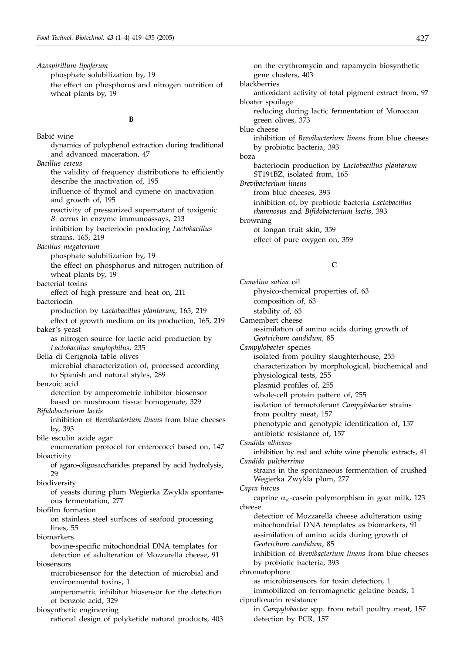*Azospirillum lipoferum*

phosphate solubilization by, 19

the effect on phosphorus and nitrogen nutrition of wheat plants by, 19

#### **B**

Babić wine dynamics of polyphenol extraction during traditional and advanced maceration, 47 *Bacillus cereus* the validity of frequency distributions to efficiently describe the inactivation of, 195 influence of thymol and cymene on inactivation and growth of, 195 reactivity of pressurized supernatant of toxigenic *B. cereus* in enzyme immunoassays, 213 inhibition by bacteriocin producing *Lactobacillus* strains, 165, 219 *Bacillus megaterium* phosphate solubilization by, 19 the effect on phosphorus and nitrogen nutrition of wheat plants by, 19 bacterial toxins effect of high pressure and heat on, 211 bacteriocin production by *Lactobacillus plantarum*, 165, 219 effect of growth medium on its production, 165, 219 baker's yeast as nitrogen source for lactic acid production by *Lactobacillus amylophilus*, 235 Bella di Cerignola table olives microbial characterization of, processed according to Spanish and natural styles, 289 benzoic acid detection by amperometric inhibitor biosensor based on mushroom tissue homogenate, 329 *Bifidobacterium lactis* inhibition of *Brevibacterium linens* from blue cheeses by, 393 bile esculin azide agar enumeration protocol for enterococci based on, 147 bioactivity of agaro-oligosaccharides prepared by acid hydrolysis, 29 biodiversity of yeasts during plum Wegierka Zwykla spontaneous fermentation, 277 biofilm formation on stainless steel surfaces of seafood processing lines, 55 biomarkers bovine-specific mitochondrial DNA templates for detection of adulteration of Mozzarella cheese, 91 biosensors microbiosensor for the detection of microbial and environmental toxins, 1 amperometric inhibitor biosensor for the detection of benzoic acid, 329 biosynthetic engineering rational design of polyketide natural products, 403

gene clusters, 403 blackberries antioxidant activity of total pigment extract from, 97 bloater spoilage reducing during lactic fermentation of Moroccan green olives, 373 blue cheese inhibition of *Brevibacterium linens* from blue cheeses by probiotic bacteria, 393 boza bacteriocin production by *Lactobacillus plantarum* ST194BZ, isolated from, 165 *Brevibacterium linens* from blue cheeses, 393 inhibition of, by probiotic bacteria *Lactobacillus rhamnosus* and *Bifidobacterium lactis*, 393 browning of longan fruit skin, 359 effect of pure oxygen on, 359

on the erythromycin and rapamycin biosynthetic

# **C**

*Camelina sativa* oil physico-chemical properties of, 63 composition of, 63 stability of, 63 Camembert cheese assimilation of amino acids during growth of *Geotrichum candidum*, 85 *Campylobacter* species isolated from poultry slaughterhouse, 255 characterization by morphological, biochemical and physiological tests, 255 plasmid profiles of, 255 whole-cell protein pattern of, 255 isolation of termotolerant *Campylobacter* strains from poultry meat, 157 phenotypic and genotypic identification of, 157 antibiotic resistance of, 157 *Candida albicans* inhibition by red and white wine phenolic extracts, 41 *Candida pulcherrima* strains in the spontaneous fermentation of crushed Wegierka Zwykla plum, 277 *Capra hircus* caprine  $\alpha_{s1}$ -casein polymorphism in goat milk, 123 cheese detection of Mozzarella cheese adulteration using mitochondrial DNA templates as biomarkers, 91 assimilation of amino acids during growth of *Geotrichum candidum*, 85 inhibition of *Brevibacterium linens* from blue cheeses by probiotic bacteria, 393 chromatophore as microbiosensors for toxin detection, 1 immobilized on ferromagnetic gelatine beads, 1 ciprofloxacin resistance in *Campylobacter* spp. from retail poultry meat, 157 detection by PCR, 157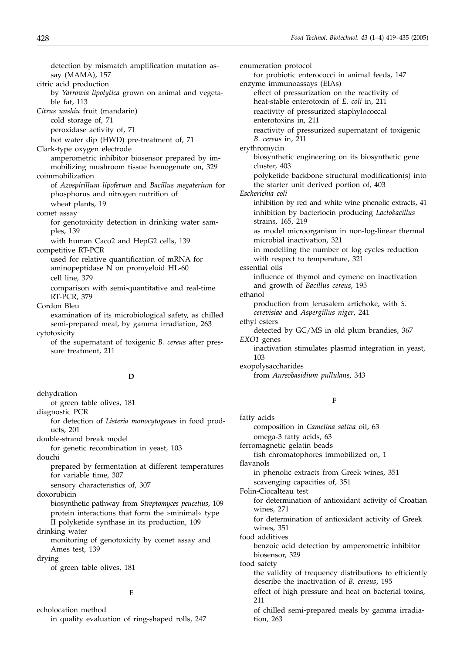detection by mismatch amplification mutation assay (MAMA), 157 citric acid production by *Yarrowia lipolytica* grown on animal and vegetable fat, 113 *Citrus unshiu* fruit (mandarin) cold storage of, 71 peroxidase activity of, 71 hot water dip (HWD) pre-treatment of, 71 Clark-type oxygen electrode amperometric inhibitor biosensor prepared by immobilizing mushroom tissue homogenate on, 329 coimmobilization of *Azospirillum lipoferum* and *Bacillus megaterium* for phosphorus and nitrogen nutrition of wheat plants, 19 comet assay for genotoxicity detection in drinking water samples, 139 with human Caco2 and HepG2 cells, 139 competitive RT-PCR used for relative quantification of mRNA for aminopeptidase N on promyeloid HL-60 cell line, 379 comparison with semi-quantitative and real-time RT-PCR, 379 Cordon Bleu examination of its microbiological safety, as chilled semi-prepared meal, by gamma irradiation, 263 cytotoxicity of the supernatant of toxigenic *B. cereus* after pressure treatment, 211 **D** dehydration of green table olives, 181 diagnostic PCR for detection of *Listeria monocytogenes* in food products, 201 double-strand break model

for genetic recombination in yeast, 103 douchi

prepared by fermentation at different temperatures for variable time, 307

sensory characteristics of, 307

doxorubicin

biosynthetic pathway from *Streptomyces peucetius*, 109 protein interactions that form the »minimal« type II polyketide synthase in its production, 109

drinking water

monitoring of genotoxicity by comet assay and Ames test, 139

drying

of green table olives, 181

#### **E**

echolocation method in quality evaluation of ring-shaped rolls, 247 enumeration protocol for probiotic enterococci in animal feeds, 147 enzyme immunoassays (EIAs) effect of pressurization on the reactivity of heat-stable enterotoxin of *E. coli* in, 211 reactivity of pressurized staphylococcal enterotoxins in, 211 reactivity of pressurized supernatant of toxigenic *B. cereus* in, 211 erythromycin biosynthetic engineering on its biosynthetic gene cluster, 403 polyketide backbone structural modification(s) into the starter unit derived portion of, 403 *Escherichia coli* inhibition by red and white wine phenolic extracts, 41 inhibition by bacteriocin producing *Lactobacillus* strains, 165, 219 as model microorganism in non-log-linear thermal microbial inactivation, 321 in modelling the number of log cycles reduction with respect to temperature, 321 essential oils influence of thymol and cymene on inactivation and growth of *Bacillus cereus*, 195 ethanol production from Jerusalem artichoke, with *S. cerevisiae* and *Aspergillus niger*, 241 ethyl esters detected by GC/MS in old plum brandies, 367 *EXO1* genes inactivation stimulates plasmid integration in yeast, 103 exopolysaccharides from *Aureobasidium pullulans*, 343

#### **F**

fatty acids composition in *Camelina sativa* oil, 63 omega-3 fatty acids, 63 ferromagnetic gelatin beads fish chromatophores immobilized on, 1 flavanols in phenolic extracts from Greek wines, 351 scavenging capacities of, 351 Folin-Ciocalteau test for determination of antioxidant activity of Croatian wines, 271 for determination of antioxidant activity of Greek wines, 351 food additives benzoic acid detection by amperometric inhibitor biosensor, 329 food safety the validity of frequency distributions to efficiently describe the inactivation of *B. cereus*, 195 effect of high pressure and heat on bacterial toxins, 211 of chilled semi-prepared meals by gamma irradiation, 263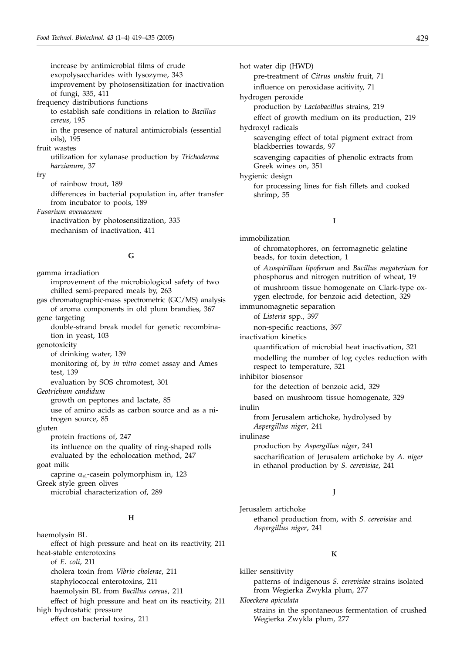increase by antimicrobial films of crude exopolysaccharides with lysozyme, 343 improvement by photosensitization for inactivation of fungi, 335, 411 frequency distributions functions to establish safe conditions in relation to *Bacillus cereus*, 195 in the presence of natural antimicrobials (essential oils), 195 fruit wastes utilization for xylanase production by *Trichoderma harzianum*, 37 fry of rainbow trout, 189 differences in bacterial population in, after transfer from incubator to pools, 189 *Fusarium avenaceum* inactivation by photosensitization, 335 mechanism of inactivation, 411

## **G**

gamma irradiation improvement of the microbiological safety of two chilled semi-prepared meals by, 263

gas chromatographic-mass spectrometric (GC/MS) analysis of aroma components in old plum brandies, 367

gene targeting

double-strand break model for genetic recombination in yeast, 103

genotoxicity

of drinking water, 139

monitoring of, by *in vitro* comet assay and Ames test, 139

evaluation by SOS chromotest, 301

*Geotrichum candidum*

growth on peptones and lactate, 85 use of amino acids as carbon source and as a nitrogen source, 85

gluten

protein fractions of, 247

its influence on the quality of ring-shaped rolls evaluated by the echolocation method, 247 goat milk

caprine  $\alpha_{s1}$ -casein polymorphism in, 123 Greek style green olives microbial characterization of, 289

#### **H**

haemolysin BL effect of high pressure and heat on its reactivity, 211 heat-stable enterotoxins of *E. coli*, 211 cholera toxin from *Vibrio cholerae*, 211 staphylococcal enterotoxins, 211 haemolysin BL from *Bacillus cereus*, 211 effect of high pressure and heat on its reactivity, 211 high hydrostatic pressure effect on bacterial toxins, 211

hot water dip (HWD)

pre-treatment of *Citrus unshiu* fruit, 71 influence on peroxidase acitivity, 71

hydrogen peroxide

production by *Lactobacillus* strains, 219

effect of growth medium on its production, 219

hydroxyl radicals

scavenging effect of total pigment extract from blackberries towards, 97

scavenging capacities of phenolic extracts from Greek wines on, 351

hygienic design for processing lines for fish fillets and cooked shrimp, 55

# **I**

immobilization of chromatophores, on ferromagnetic gelatine beads, for toxin detection, 1 of *Azospirillum lipoferum* and *Bacillus megaterium* for phosphorus and nitrogen nutrition of wheat, 19 of mushroom tissue homogenate on Clark-type oxygen electrode, for benzoic acid detection, 329 immunomagnetic separation of *Listeria* spp., 397 non-specific reactions, 397 inactivation kinetics quantification of microbial heat inactivation, 321 modelling the number of log cycles reduction with respect to temperature, 321 inhibitor biosensor for the detection of benzoic acid, 329 based on mushroom tissue homogenate, 329 inulin from Jerusalem artichoke, hydrolysed by *Aspergillus niger*, 241 inulinase production by *Aspergillus niger*, 241 saccharification of Jerusalem artichoke by *A. niger* in ethanol production by *S. cerevisiae*, 241

## **J**

Jerusalem artichoke ethanol production from, with *S. cerevisiae* and *Aspergillus niger*, 241

#### **K**

killer sensitivity patterns of indigenous *S. cerevisiae* strains isolated from Wegierka Zwykla plum, 277 *Kloeckera apiculata* strains in the spontaneous fermentation of crushed Wegierka Zwykla plum, 277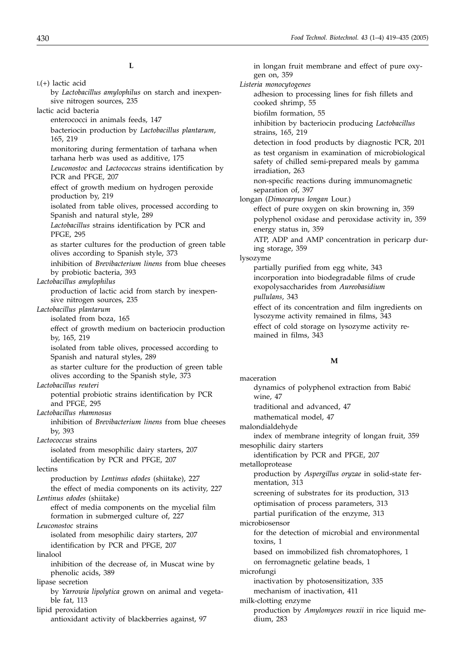**L**

| $L(+)$ lactic acid<br>by Lactobacillus amylophilus on starch and inexpen-                       |
|-------------------------------------------------------------------------------------------------|
| sive nitrogen sources, 235                                                                      |
| lactic acid bacteria                                                                            |
| enterococci in animals feeds, 147                                                               |
| bacteriocin production by Lactobacillus plantarum,<br>165, 219                                  |
| monitoring during fermentation of tarhana when<br>tarhana herb was used as additive, 175        |
| Leuconostoc and Lactococcus strains identification by<br>PCR and PFGE, 207                      |
| effect of growth medium on hydrogen peroxide<br>production by, 219                              |
| isolated from table olives, processed according to<br>Spanish and natural style, 289            |
| Lactobacillus strains identification by PCR and<br><b>PFGE, 295</b>                             |
| as starter cultures for the production of green table<br>olives according to Spanish style, 373 |
| inhibition of Brevibacterium linens from blue cheeses<br>by probiotic bacteria, 393             |
| Lactobacillus amylophilus                                                                       |
| production of lactic acid from starch by inexpen-<br>sive nitrogen sources, 235                 |
| Lactobacillus plantarum                                                                         |
| isolated from boza, 165                                                                         |
| effect of growth medium on bacteriocin production<br>by, 165, 219                               |
| isolated from table olives, processed according to                                              |
| Spanish and natural styles, 289<br>as starter culture for the production of green table         |
| olives according to the Spanish style, 373                                                      |
| Lactobacillus reuteri                                                                           |
| potential probiotic strains identification by PCR<br>and PFGE, 295                              |
| Lactobacillus rhamnosus                                                                         |
| inhibition of <i>Brevibacterium linens</i> from blue cheeses<br>by, 393                         |
| Lactococcus strains                                                                             |
| isolated from mesophilic dairy starters, 207<br>identification by PCR and PFGE, 207             |
| lectins                                                                                         |
| production by Lentinus edodes (shiitake), 227                                                   |
| the effect of media components on its activity, 227<br>Lentinus edodes (shiitake)               |
| effect of media components on the mycelial film                                                 |
| formation in submerged culture of, 227                                                          |
| Leuconostoc strains                                                                             |
| isolated from mesophilic dairy starters, 207                                                    |
| identification by PCR and PFGE, 207                                                             |
| linalool                                                                                        |
| inhibition of the decrease of, in Muscat wine by<br>phenolic acids, 389                         |
| lipase secretion                                                                                |
| by Yarrowia lipolytica grown on animal and vegeta-<br>ble fat, 113                              |
| lipid peroxidation<br>antioxidant activity of blackberries against, 97                          |
|                                                                                                 |

in longan fruit membrane and effect of pure oxygen on, 359 *Listeria monocytogenes* adhesion to processing lines for fish fillets and cooked shrimp, 55 biofilm formation, 55 inhibition by bacteriocin producing *Lactobacillus* strains, 165, 219 detection in food products by diagnostic PCR, 201 as test organism in examination of microbiological safety of chilled semi-prepared meals by gamma irradiation, 263 non-specific reactions during immunomagnetic separation of, 397 longan (*Dimocarpus longan* Lour.) effect of pure oxygen on skin browning in, 359 polyphenol oxidase and peroxidase activity in, 359 energy status in, 359 ATP, ADP and AMP concentration in pericarp during storage, 359 lysozyme partially purified from egg white, 343 incorporation into biodegradable films of crude exopolysaccharides from *Aureobasidium pullulans*, 343 effect of its concentration and film ingredients on lysozyme activity remained in films, 343 effect of cold storage on lysozyme activity remained in films, 343

#### **M**

maceration dynamics of polyphenol extraction from Babić wine, 47 traditional and advanced, 47 mathematical model, 47 malondialdehyde index of membrane integrity of longan fruit, 359 mesophilic dairy starters identification by PCR and PFGE, 207 metalloprotease production by *Aspergillus oryzae* in solid-state fermentation, 313 screening of substrates for its production, 313 optimisation of process parameters, 313 partial purification of the enzyme, 313 microbiosensor for the detection of microbial and environmental toxins, 1 based on immobilized fish chromatophores, 1 on ferromagnetic gelatine beads, 1 microfungi inactivation by photosensitization, 335 mechanism of inactivation, 411 milk-clotting enzyme production by *Amylomyces rouxii* in rice liquid medium, 283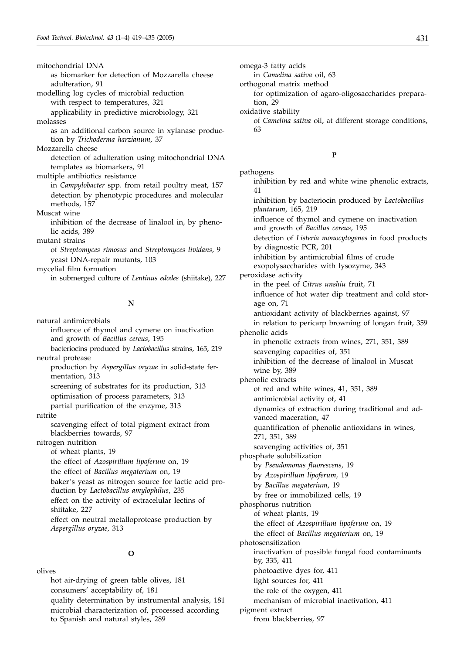mitochondrial DNA as biomarker for detection of Mozzarella cheese adulteration, 91 modelling log cycles of microbial reduction with respect to temperatures, 321 applicability in predictive microbiology, 321 molasses as an additional carbon source in xylanase production by *Trichoderma harzianum*, 37 Mozzarella cheese detection of adulteration using mitochondrial DNA templates as biomarkers, 91 multiple antibiotics resistance in *Campylobacter* spp. from retail poultry meat, 157 detection by phenotypic procedures and molecular methods, 157 Muscat wine inhibition of the decrease of linalool in, by phenolic acids, 389 mutant strains of *Streptomyces rimosus* and *Streptomyces lividans*, 9 yeast DNA-repair mutants, 103 mycelial film formation in submerged culture of *Lentinus edodes* (shiitake), 227

#### **N**

natural antimicrobials influence of thymol and cymene on inactivation and growth of *Bacillus cereus*, 195 bacteriocins produced by *Lactobacillus* strains, 165, 219 neutral protease production by *Aspergillus oryzae* in solid-state fermentation, 313 screening of substrates for its production, 313 optimisation of process parameters, 313 partial purification of the enzyme, 313 nitrite scavenging effect of total pigment extract from blackberries towards, 97 nitrogen nutrition of wheat plants, 19 the effect of *Azospirillum lipoferum* on, 19 the effect of *Bacillus megaterium* on, 19 baker's yeast as nitrogen source for lactic acid production by *Lactobacillus amylophilus*, 235 effect on the activity of extracelular lectins of shiitake, 227 effect on neutral metalloprotease production by *Aspergillus oryzae*, 313

#### **O**

olives

hot air-drying of green table olives, 181 consumers' acceptability of, 181 quality determination by instrumental analysis, 181 microbial characterization of, processed according to Spanish and natural styles, 289

omega-3 fatty acids

in *Camelina sativa* oil, 63

orthogonal matrix method

for optimization of agaro-oligosaccharides preparation, 29

oxidative stability

of *Camelina sativa* oil, at different storage conditions, 63

## **P**

pathogens inhibition by red and white wine phenolic extracts, 41 inhibition by bacteriocin produced by *Lactobacillus plantarum*, 165, 219 influence of thymol and cymene on inactivation and growth of *Bacillus cereus*, 195 detection of *Listeria monocytogenes* in food products by diagnostic PCR, 201 inhibition by antimicrobial films of crude exopolysaccharides with lysozyme, 343 peroxidase activity in the peel of *Citrus unshiu* fruit, 71 influence of hot water dip treatment and cold storage on, 71 antioxidant activity of blackberries against, 97 in relation to pericarp browning of longan fruit, 359 phenolic acids in phenolic extracts from wines, 271, 351, 389 scavenging capacities of, 351 inhibition of the decrease of linalool in Muscat wine by, 389 phenolic extracts of red and white wines, 41, 351, 389 antimicrobial activity of, 41 dynamics of extraction during traditional and advanced maceration, 47 quantification of phenolic antioxidans in wines, 271, 351, 389 scavenging activities of, 351 phosphate solubilization by *Pseudomonas fluorescens*, 19 by *Azospirillum lipoferum*, 19 by *Bacillus megaterium*, 19 by free or immobilized cells, 19 phosphorus nutrition of wheat plants, 19 the effect of *Azospirillum lipoferum* on, 19 the effect of *Bacillus megaterium* on, 19 photosensitization inactivation of possible fungal food contaminants by, 335, 411 photoactive dyes for, 411 light sources for, 411 the role of the oxygen, 411

mechanism of microbial inactivation, 411

pigment extract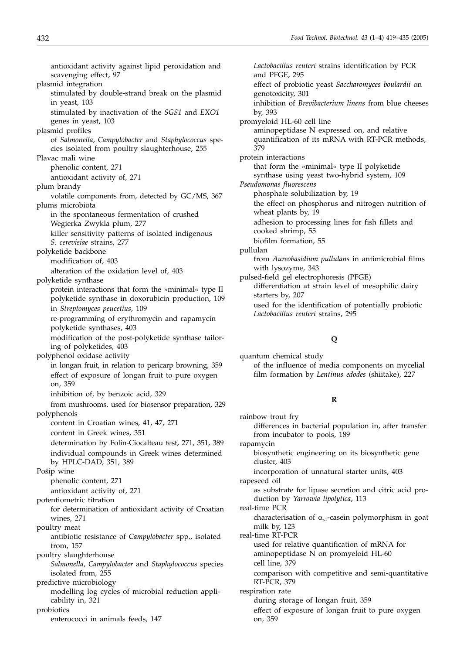antioxidant activity against lipid peroxidation and scavenging effect, 97 plasmid integration stimulated by double-strand break on the plasmid in yeast, 103 stimulated by inactivation of the *SGS1* and *EXO1* genes in yeast, 103 plasmid profiles of *Salmonella, Campylobacter* and *Staphylococcus* species isolated from poultry slaughterhouse, 255 Plavac mali wine phenolic content, 271 antioxidant activity of, 271 plum brandy volatile components from, detected by GC/MS, 367 plums microbiota in the spontaneous fermentation of crushed Wegierka Zwykla plum, 277 killer sensitivity patterns of isolated indigenous *S. cerevisiae* strains, 277 polyketide backbone modification of, 403 alteration of the oxidation level of, 403 polyketide synthase protein interactions that form the »minimal« type II polyketide synthase in doxorubicin production, 109 in *Streptomyces peucetius*, 109 re-programming of erythromycin and rapamycin polyketide synthases, 403 modification of the post-polyketide synthase tailoring of polyketides, 403 polyphenol oxidase activity in longan fruit, in relation to pericarp browning, 359 effect of exposure of longan fruit to pure oxygen on, 359 inhibition of, by benzoic acid, 329 from mushrooms, used for biosensor preparation, 329 polyphenols content in Croatian wines, 41, 47, 271 content in Greek wines, 351 determination by Folin-Ciocalteau test, 271, 351, 389 individual compounds in Greek wines determined by HPLC-DAD, 351, 389 Pošip wine phenolic content, 271 antioxidant activity of, 271 potentiometric titration for determination of antioxidant activity of Croatian wines, 271 poultry meat antibiotic resistance of *Campylobacter* spp., isolated from, 157 poultry slaughterhouse *Salmonella, Campylobacter* and *Staphylococcus* species isolated from, 255 predictive microbiology modelling log cycles of microbial reduction applicability in, 321 probiotics enterococci in animals feeds, 147

*Lactobacillus reuteri* strains identification by PCR and PFGE, 295 effect of probiotic yeast *Saccharomyces boulardii* on genotoxicity, 301 inhibition of *Brevibacterium linens* from blue cheeses by, 393 promyeloid HL-60 cell line aminopeptidase N expressed on, and relative quantification of its mRNA with RT-PCR methods, 379 protein interactions that form the »minimal« type II polyketide synthase using yeast two-hybrid system, 109 *Pseudomonas fluorescens* phosphate solubilization by, 19 the effect on phosphorus and nitrogen nutrition of wheat plants by, 19 adhesion to processing lines for fish fillets and cooked shrimp, 55 biofilm formation, 55 pullulan from *Aureobasidium pullulans* in antimicrobial films with lysozyme, 343 pulsed-field gel electrophoresis (PFGE) differentiation at strain level of mesophilic dairy starters by, 207 used for the identification of potentially probiotic *Lactobacillus reuteri* strains, 295

# **Q**

quantum chemical study of the influence of media components on mycelial film formation by *Lentinus edodes* (shiitake), 227

#### **R**

rainbow trout fry differences in bacterial population in, after transfer from incubator to pools, 189 rapamycin biosynthetic engineering on its biosynthetic gene cluster, 403 incorporation of unnatural starter units, 403 rapeseed oil as substrate for lipase secretion and citric acid production by *Yarrowia lipolytica*, 113 real-time PCR characterisation of  $\alpha_{s1}$ -casein polymorphism in goat milk by, 123 real-time RT-PCR used for relative quantification of mRNA for aminopeptidase N on promyeloid HL-60 cell line, 379 comparison with competitive and semi-quantitative RT-PCR, 379 respiration rate during storage of longan fruit, 359 effect of exposure of longan fruit to pure oxygen on, 359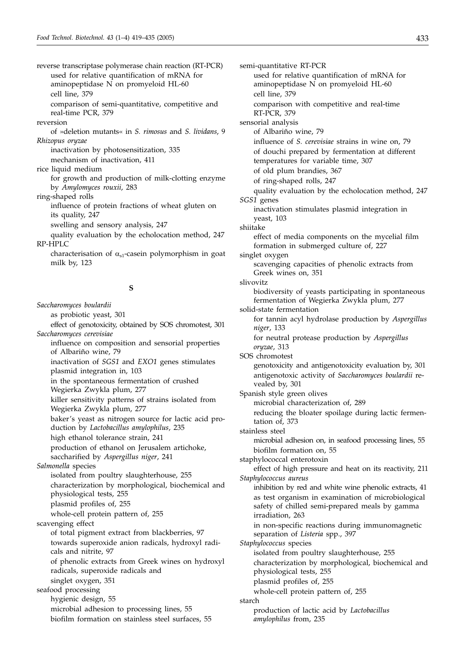reverse transcriptase polymerase chain reaction (RT-PCR) used for relative quantification of mRNA for aminopeptidase N on promyeloid HL-60 cell line, 379 comparison of semi-quantitative, competitive and real-time PCR, 379 reversion of »deletion mutants« in *S. rimosus* and *S. lividans*, 9 *Rhizopus oryzae* inactivation by photosensitization, 335 mechanism of inactivation, 411 rice liquid medium for growth and production of milk-clotting enzyme by *Amylomyces rouxii*, 283 ring-shaped rolls influence of protein fractions of wheat gluten on its quality, 247 swelling and sensory analysis, 247 quality evaluation by the echolocation method, 247 RP-HPLC characterisation of  $\alpha_{s1}$ -casein polymorphism in goat milk by, 123

# **S**

*Saccharomyces boulardii* as probiotic yeast, 301 effect of genotoxicity, obtained by SOS chromotest, 301 *Saccharomyces cerevisiae* influence on composition and sensorial properties of Albariño wine, 79 inactivation of *SGS1* and *EXO1* genes stimulates plasmid integration in, 103 in the spontaneous fermentation of crushed Wegierka Zwykla plum, 277 killer sensitivity patterns of strains isolated from Wegierka Zwykla plum, 277 baker's yeast as nitrogen source for lactic acid production by *Lactobacillus amylophilus*, 235 high ethanol tolerance strain, 241 production of ethanol on Jerusalem artichoke, saccharified by *Aspergillus niger*, 241 *Salmonella* species isolated from poultry slaughterhouse, 255 characterization by morphological, biochemical and physiological tests, 255 plasmid profiles of, 255 whole-cell protein pattern of, 255 scavenging effect of total pigment extract from blackberries, 97 towards superoxide anion radicals, hydroxyl radicals and nitrite, 97 of phenolic extracts from Greek wines on hydroxyl radicals, superoxide radicals and singlet oxygen, 351 seafood processing hygienic design, 55 microbial adhesion to processing lines, 55 biofilm formation on stainless steel surfaces, 55

semi-quantitative RT-PCR used for relative quantification of mRNA for aminopeptidase N on promyeloid HL-60 cell line, 379 comparison with competitive and real-time RT-PCR, 379 sensorial analysis of Albariño wine, 79 influence of *S. cerevisiae* strains in wine on, 79 of douchi prepared by fermentation at different temperatures for variable time, 307 of old plum brandies, 367 of ring-shaped rolls, 247 quality evaluation by the echolocation method, 247 *SGS1* genes inactivation stimulates plasmid integration in yeast, 103 shiitake effect of media components on the mycelial film formation in submerged culture of, 227 singlet oxygen scavenging capacities of phenolic extracts from Greek wines on, 351 slivovitz biodiversity of yeasts participating in spontaneous fermentation of Wegierka Zwykla plum, 277 solid-state fermentation for tannin acyl hydrolase production by *Aspergillus niger*, 133 for neutral protease production by *Aspergillus oryzae*, 313 SOS chromotest genotoxicity and antigenotoxicity evaluation by, 301 antigenotoxic activity of *Saccharomyces boulardii* revealed by, 301 Spanish style green olives microbial characterization of, 289 reducing the bloater spoilage during lactic fermentation of, 373 stainless steel microbial adhesion on, in seafood processing lines, 55 biofilm formation on, 55 staphylococcal enterotoxin effect of high pressure and heat on its reactivity, 211 *Staphylococcus aureus* inhibition by red and white wine phenolic extracts, 41 as test organism in examination of microbiological safety of chilled semi-prepared meals by gamma irradiation, 263 in non-specific reactions during immunomagnetic separation of *Listeria* spp., 397 *Staphylococcus* species isolated from poultry slaughterhouse, 255 characterization by morphological, biochemical and physiological tests, 255 plasmid profiles of, 255 whole-cell protein pattern of, 255 starch production of lactic acid by *Lactobacillus amylophilus* from, 235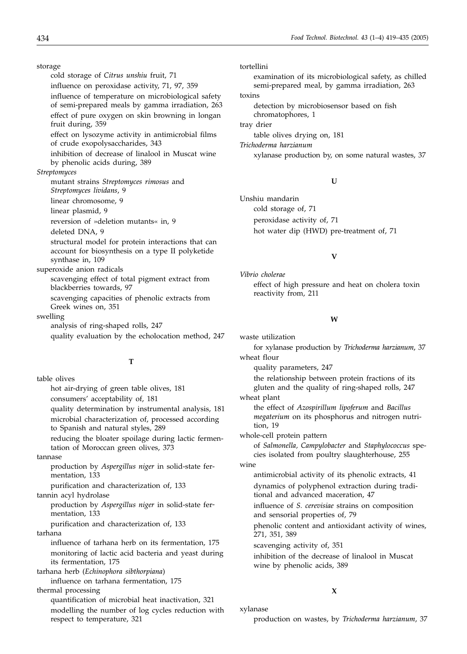storage

cold storage of *Citrus unshiu* fruit, 71 influence on peroxidase activity, 71, 97, 359 influence of temperature on microbiological safety of semi-prepared meals by gamma irradiation, 263 effect of pure oxygen on skin browning in longan fruit during, 359 effect on lysozyme activity in antimicrobial films of crude exopolysaccharides, 343 inhibition of decrease of linalool in Muscat wine by phenolic acids during, 389 *Streptomyces* mutant strains *Streptomyces rimosus* and *Streptomyces lividans*, 9 linear chromosome, 9 linear plasmid, 9 reversion of »deletion mutants« in, 9 deleted DNA, 9 structural model for protein interactions that can account for biosynthesis on a type II polyketide synthase in, 109 superoxide anion radicals scavenging effect of total pigment extract from blackberries towards, 97 scavenging capacities of phenolic extracts from Greek wines on, 351 swelling analysis of ring-shaped rolls, 247 quality evaluation by the echolocation method, 247

**T**

table olives hot air-drying of green table olives, 181 consumers' acceptability of, 181 quality determination by instrumental analysis, 181 microbial characterization of, processed according to Spanish and natural styles, 289 reducing the bloater spoilage during lactic fermentation of Moroccan green olives, 373 tannase production by *Aspergillus niger* in solid-state fermentation, 133 purification and characterization of, 133 tannin acyl hydrolase production by *Aspergillus niger* in solid-state fermentation, 133 purification and characterization of, 133 tarhana influence of tarhana herb on its fermentation, 175 monitoring of lactic acid bacteria and yeast during its fermentation, 175 tarhana herb (*Echinophora sibthorpiana*) influence on tarhana fermentation, 175 thermal processing quantification of microbial heat inactivation, 321 modelling the number of log cycles reduction with respect to temperature, 321

tortellini examination of its microbiological safety, as chilled semi-prepared meal, by gamma irradiation, 263 toxins detection by microbiosensor based on fish chromatophores, 1 tray drier table olives drying on, 181 *Trichoderma harzianum* xylanase production by, on some natural wastes, 37

#### **U**

Unshiu mandarin cold storage of, 71 peroxidase activity of, 71 hot water dip (HWD) pre-treatment of, 71

#### **V**

*Vibrio cholerae* effect of high pressure and heat on cholera toxin reactivity from, 211

#### **W**

waste utilization for xylanase production by *Trichoderma harzianum*, 37

wheat flour

quality parameters, 247

the relationship between protein fractions of its gluten and the quality of ring-shaped rolls, 247 wheat plant

the effect of *Azospirillum lipoferum* and *Bacillus megaterium* on its phosphorus and nitrogen nutrition, 19

whole-cell protein pattern

of *Salmonella, Campylobacter* and *Staphylococcus* species isolated from poultry slaughterhouse, 255

wine

antimicrobial activity of its phenolic extracts, 41 dynamics of polyphenol extraction during traditional and advanced maceration, 47

influence of *S. cerevisiae* strains on composition and sensorial properties of, 79

phenolic content and antioxidant activity of wines, 271, 351, 389

scavenging activity of, 351

inhibition of the decrease of linalool in Muscat wine by phenolic acids, 389

#### **X**

xylanase

production on wastes, by *Trichoderma harzianum*, 37